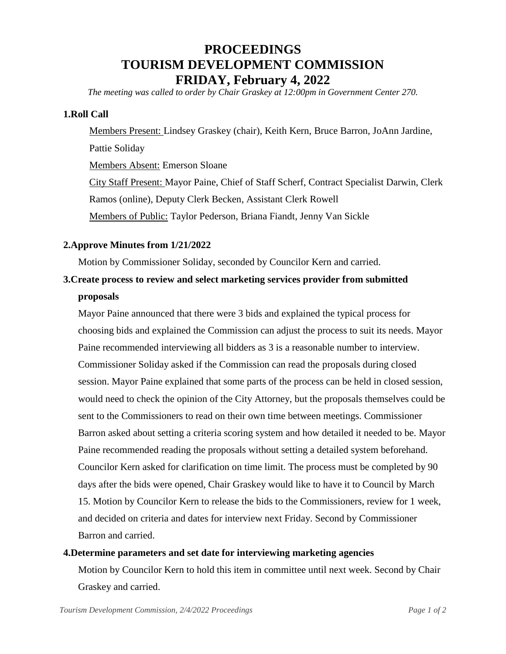# **PROCEEDINGS TOURISM DEVELOPMENT COMMISSION FRIDAY, February 4, 2022**

*The meeting was called to order by Chair Graskey at 12:00pm in Government Center 270.*

### **1.Roll Call**

Members Present: Lindsey Graskey (chair), Keith Kern, Bruce Barron, JoAnn Jardine, Pattie Soliday Members Absent: Emerson Sloane City Staff Present: Mayor Paine, Chief of Staff Scherf, Contract Specialist Darwin, Clerk Ramos (online), Deputy Clerk Becken, Assistant Clerk Rowell Members of Public: Taylor Pederson, Briana Fiandt, Jenny Van Sickle

### **2.Approve Minutes from 1/21/2022**

Motion by Commissioner Soliday, seconded by Councilor Kern and carried.

## **3.Create process to review and select marketing services provider from submitted proposals**

Mayor Paine announced that there were 3 bids and explained the typical process for choosing bids and explained the Commission can adjust the process to suit its needs. Mayor Paine recommended interviewing all bidders as 3 is a reasonable number to interview. Commissioner Soliday asked if the Commission can read the proposals during closed session. Mayor Paine explained that some parts of the process can be held in closed session, would need to check the opinion of the City Attorney, but the proposals themselves could be sent to the Commissioners to read on their own time between meetings. Commissioner Barron asked about setting a criteria scoring system and how detailed it needed to be. Mayor Paine recommended reading the proposals without setting a detailed system beforehand. Councilor Kern asked for clarification on time limit. The process must be completed by 90 days after the bids were opened, Chair Graskey would like to have it to Council by March 15. Motion by Councilor Kern to release the bids to the Commissioners, review for 1 week, and decided on criteria and dates for interview next Friday. Second by Commissioner Barron and carried.

#### **4.Determine parameters and set date for interviewing marketing agencies**

Motion by Councilor Kern to hold this item in committee until next week. Second by Chair Graskey and carried.